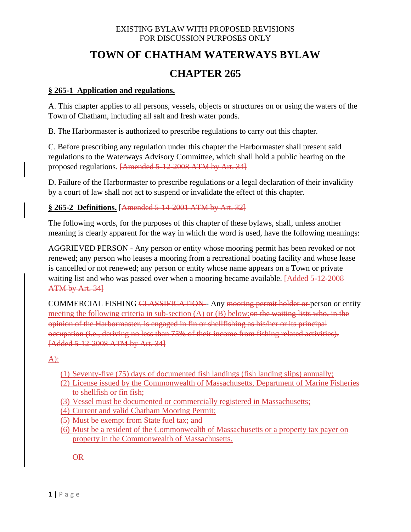# **TOWN OF CHATHAM WATERWAYS BYLAW**

# **CHAPTER 265**

#### **§ 265-1 Application and regulations.**

A. This chapter applies to all persons, vessels, objects or structures on or using the waters of the Town of Chatham, including all salt and fresh water ponds.

B. The Harbormaster is authorized to prescribe regulations to carry out this chapter.

C. Before prescribing any regulation under this chapter the Harbormaster shall present said regulations to the Waterways Advisory Committee, which shall hold a public hearing on the proposed regulations. [Amended 5-12-2008 ATM by Art. 34]

D. Failure of the Harbormaster to prescribe regulations or a legal declaration of their invalidity by a court of law shall not act to suspend or invalidate the effect of this chapter.

# **§ 265-2 Definitions.** [Amended 5-14-2001 ATM by Art. 32]

The following words, for the purposes of this chapter of these bylaws, shall, unless another meaning is clearly apparent for the way in which the word is used, have the following meanings:

AGGRIEVED PERSON - Any person or entity whose mooring permit has been revoked or not renewed; any person who leases a mooring from a recreational boating facility and whose lease is cancelled or not renewed; any person or entity whose name appears on a Town or private waiting list and who was passed over when a mooring became available. **[Added 5-12-2008**] ATM by Art. 34]

COMMERCIAL FISHING CLASSIFICATION - Any mooring permit holder or person or entity meeting the following criteria in sub-section  $(A)$  or  $(B)$  below: on the waiting lists who, in the opinion of the Harbormaster, is engaged in fin or shellfishing as his/her or its principal occupation (i.e., deriving no less than 75% of their income from fishing related activities). [Added 5-12-2008 ATM by Art. 34]

A):

- (1) Seventy-five (75) days of documented fish landings (fish landing slips) annually;
- (2) License issued by the Commonwealth of Massachusetts, Department of Marine Fisheries to shellfish or fin fish;
- (3) Vessel must be documented or commercially registered in Massachusetts;
- (4) Current and valid Chatham Mooring Permit;
- (5) Must be exempt from State fuel tax; and
- (6) Must be a resident of the Commonwealth of Massachusetts or a property tax payer on property in the Commonwealth of Massachusetts.

OR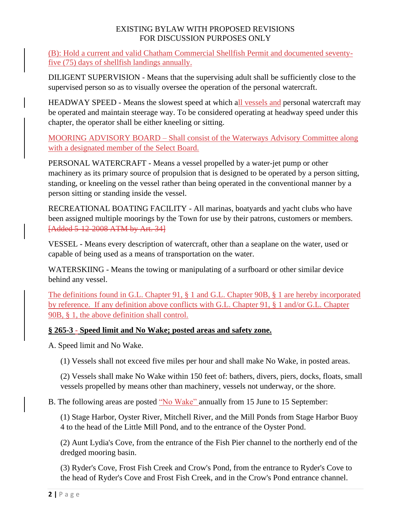(B): Hold a current and valid Chatham Commercial Shellfish Permit and documented seventyfive (75) days of shellfish landings annually.

DILIGENT SUPERVISION - Means that the supervising adult shall be sufficiently close to the supervised person so as to visually oversee the operation of the personal watercraft.

HEADWAY SPEED - Means the slowest speed at which all vessels and personal watercraft may be operated and maintain steerage way. To be considered operating at headway speed under this chapter, the operator shall be either kneeling or sitting.

MOORING ADVISORY BOARD – Shall consist of the Waterways Advisory Committee along with a designated member of the Select Board.

PERSONAL WATERCRAFT - Means a vessel propelled by a water-jet pump or other machinery as its primary source of propulsion that is designed to be operated by a person sitting, standing, or kneeling on the vessel rather than being operated in the conventional manner by a person sitting or standing inside the vessel.

RECREATIONAL BOATING FACILITY - All marinas, boatyards and yacht clubs who have been assigned multiple moorings by the Town for use by their patrons, customers or members. [Added 5-12-2008 ATM by Art. 34]

VESSEL - Means every description of watercraft, other than a seaplane on the water, used or capable of being used as a means of transportation on the water.

WATERSKIING - Means the towing or manipulating of a surfboard or other similar device behind any vessel.

The definitions found in G.L. Chapter 91, § 1 and G.L. Chapter 90B, § 1 are hereby incorporated by reference. If any definition above conflicts with G.L. Chapter 91, § 1 and/or G.L. Chapter 90B, § 1, the above definition shall control.

# **§ 265-3 - Speed limit and No Wake; posted areas and safety zone.**

A. Speed limit and No Wake.

(1) Vessels shall not exceed five miles per hour and shall make No Wake, in posted areas.

(2) Vessels shall make No Wake within 150 feet of: bathers, divers, piers, docks, floats, small vessels propelled by means other than machinery, vessels not underway, or the shore.

B. The following areas are posted "No Wake" annually from 15 June to 15 September:

(1) Stage Harbor, Oyster River, Mitchell River, and the Mill Ponds from Stage Harbor Buoy 4 to the head of the Little Mill Pond, and to the entrance of the Oyster Pond.

(2) Aunt Lydia's Cove, from the entrance of the Fish Pier channel to the northerly end of the dredged mooring basin.

(3) Ryder's Cove, Frost Fish Creek and Crow's Pond, from the entrance to Ryder's Cove to the head of Ryder's Cove and Frost Fish Creek, and in the Crow's Pond entrance channel.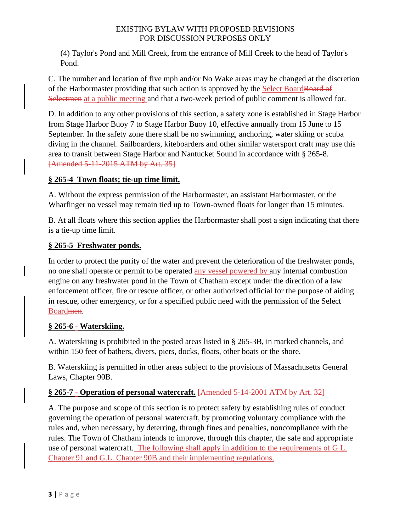(4) Taylor's Pond and Mill Creek, from the entrance of Mill Creek to the head of Taylor's Pond.

C. The number and location of five mph and/or No Wake areas may be changed at the discretion of the Harbormaster providing that such action is approved by the Select Board Board Selectmen at a public meeting and that a two-week period of public comment is allowed for.

D. In addition to any other provisions of this section, a safety zone is established in Stage Harbor from Stage Harbor Buoy 7 to Stage Harbor Buoy 10, effective annually from 15 June to 15 September. In the safety zone there shall be no swimming, anchoring, water skiing or scuba diving in the channel. Sailboarders, kiteboarders and other similar watersport craft may use this area to transit between Stage Harbor and Nantucket Sound in accordance with § 265-8. [Amended 5-11-2015 ATM by Art. 35]

# **§ 265-4 Town floats; tie-up time limit.**

A. Without the express permission of the Harbormaster, an assistant Harbormaster, or the Wharfinger no vessel may remain tied up to Town-owned floats for longer than 15 minutes.

B. At all floats where this section applies the Harbormaster shall post a sign indicating that there is a tie-up time limit.

# **§ 265-5 Freshwater ponds.**

In order to protect the purity of the water and prevent the deterioration of the freshwater ponds, no one shall operate or permit to be operated any vessel powered by any internal combustion engine on any freshwater pond in the Town of Chatham except under the direction of a law enforcement officer, fire or rescue officer, or other authorized official for the purpose of aiding in rescue, other emergency, or for a specified public need with the permission of the Select Boardmen.

# **§ 265-6 - Waterskiing.**

A. Waterskiing is prohibited in the posted areas listed in § 265-3B, in marked channels, and within 150 feet of bathers, divers, piers, docks, floats, other boats or the shore.

B. Waterskiing is permitted in other areas subject to the provisions of Massachusetts General Laws, Chapter 90B.

# **§ 265-7 - Operation of personal watercraft.** [Amended 5-14-2001 ATM by Art. 32]

A. The purpose and scope of this section is to protect safety by establishing rules of conduct governing the operation of personal watercraft, by promoting voluntary compliance with the rules and, when necessary, by deterring, through fines and penalties, noncompliance with the rules. The Town of Chatham intends to improve, through this chapter, the safe and appropriate use of personal watercraft. The following shall apply in addition to the requirements of G.L. Chapter 91 and G.L. Chapter 90B and their implementing regulations.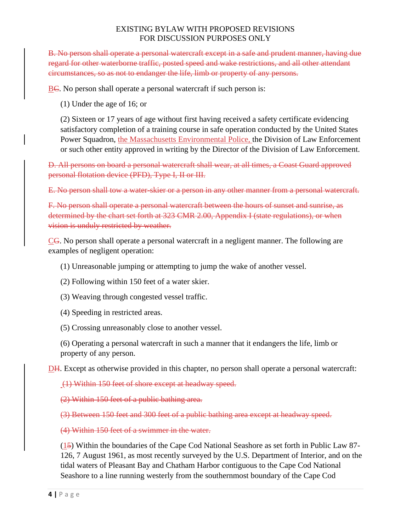B. No person shall operate a personal watercraft except in a safe and prudent manner, having due regard for other waterborne traffic, posted speed and wake restrictions, and all other attendant circumstances, so as not to endanger the life, limb or property of any persons.

BC. No person shall operate a personal watercraft if such person is:

(1) Under the age of 16; or

(2) Sixteen or 17 years of age without first having received a safety certificate evidencing satisfactory completion of a training course in safe operation conducted by the United States Power Squadron, the Massachusetts Environmental Police, the Division of Law Enforcement or such other entity approved in writing by the Director of the Division of Law Enforcement.

D. All persons on board a personal watercraft shall wear, at all times, a Coast Guard approved personal flotation device (PFD), Type I, II or III.

E. No person shall tow a water-skier or a person in any other manner from a personal watercraft.

F. No person shall operate a personal watercraft between the hours of sunset and sunrise, as determined by the chart set forth at 323 CMR 2.00, Appendix I (state regulations), or when vision is unduly restricted by weather.

CG. No person shall operate a personal watercraft in a negligent manner. The following are examples of negligent operation:

(1) Unreasonable jumping or attempting to jump the wake of another vessel.

- (2) Following within 150 feet of a water skier.
- (3) Weaving through congested vessel traffic.
- (4) Speeding in restricted areas.
- (5) Crossing unreasonably close to another vessel.

(6) Operating a personal watercraft in such a manner that it endangers the life, limb or property of any person.

DH. Except as otherwise provided in this chapter, no person shall operate a personal watercraft:

(1) Within 150 feet of shore except at headway speed.

(2) Within 150 feet of a public bathing area.

(3) Between 150 feet and 300 feet of a public bathing area except at headway speed.

(4) Within 150 feet of a swimmer in the water.

(15) Within the boundaries of the Cape Cod National Seashore as set forth in Public Law 87- 126, 7 August 1961, as most recently surveyed by the U.S. Department of Interior, and on the tidal waters of Pleasant Bay and Chatham Harbor contiguous to the Cape Cod National Seashore to a line running westerly from the southernmost boundary of the Cape Cod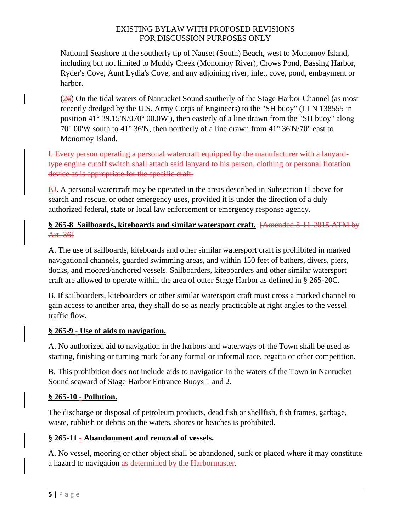National Seashore at the southerly tip of Nauset (South) Beach, west to Monomoy Island, including but not limited to Muddy Creek (Monomoy River), Crows Pond, Bassing Harbor, Ryder's Cove, Aunt Lydia's Cove, and any adjoining river, inlet, cove, pond, embayment or harbor.

 $(26)$  On the tidal waters of Nantucket Sound southerly of the Stage Harbor Channel (as most recently dredged by the U.S. Army Corps of Engineers) to the "SH buoy" (LLN 138555 in position 41° 39.15'N/070° 00.0W'), then easterly of a line drawn from the "SH buoy" along 70° 00'W south to 41° 36'N, then northerly of a line drawn from 41° 36'N/70° east to Monomoy Island.

I. Every person operating a personal watercraft equipped by the manufacturer with a lanyardtype engine cutoff switch shall attach said lanyard to his person, clothing or personal flotation device as is appropriate for the specific craft.

EJ. A personal watercraft may be operated in the areas described in Subsection H above for search and rescue, or other emergency uses, provided it is under the direction of a duly authorized federal, state or local law enforcement or emergency response agency.

# **§ 265-8 Sailboards, kiteboards and similar watersport craft.** [Amended 5-11-2015 ATM by Art. 36]

A. The use of sailboards, kiteboards and other similar watersport craft is prohibited in marked navigational channels, guarded swimming areas, and within 150 feet of bathers, divers, piers, docks, and moored/anchored vessels. Sailboarders, kiteboarders and other similar watersport craft are allowed to operate within the area of outer Stage Harbor as defined in § 265-20C.

B. If sailboarders, kiteboarders or other similar watersport craft must cross a marked channel to gain access to another area, they shall do so as nearly practicable at right angles to the vessel traffic flow.

# **§ 265-9 - Use of aids to navigation.**

A. No authorized aid to navigation in the harbors and waterways of the Town shall be used as starting, finishing or turning mark for any formal or informal race, regatta or other competition.

B. This prohibition does not include aids to navigation in the waters of the Town in Nantucket Sound seaward of Stage Harbor Entrance Buoys 1 and 2.

# **§ 265-10 - Pollution.**

The discharge or disposal of petroleum products, dead fish or shellfish, fish frames, garbage, waste, rubbish or debris on the waters, shores or beaches is prohibited.

# **§ 265-11 - Abandonment and removal of vessels.**

A. No vessel, mooring or other object shall be abandoned, sunk or placed where it may constitute a hazard to navigation as determined by the Harbormaster.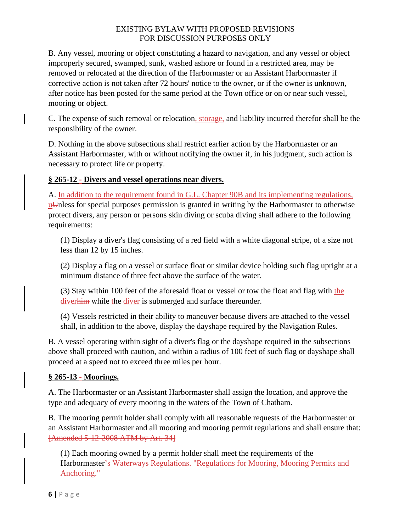B. Any vessel, mooring or object constituting a hazard to navigation, and any vessel or object improperly secured, swamped, sunk, washed ashore or found in a restricted area, may be removed or relocated at the direction of the Harbormaster or an Assistant Harbormaster if corrective action is not taken after 72 hours' notice to the owner, or if the owner is unknown, after notice has been posted for the same period at the Town office or on or near such vessel, mooring or object.

C. The expense of such removal or relocation, storage, and liability incurred therefor shall be the responsibility of the owner.

D. Nothing in the above subsections shall restrict earlier action by the Harbormaster or an Assistant Harbormaster, with or without notifying the owner if, in his judgment, such action is necessary to protect life or property.

# **§ 265-12 - Divers and vessel operations near divers.**

A. In addition to the requirement found in G.L. Chapter 90B and its implementing regulations, u<sup>U</sup>nless for special purposes permission is granted in writing by the Harbormaster to otherwise protect divers, any person or persons skin diving or scuba diving shall adhere to the following requirements:

(1) Display a diver's flag consisting of a red field with a white diagonal stripe, of a size not less than 12 by 15 inches.

(2) Display a flag on a vessel or surface float or similar device holding such flag upright at a minimum distance of three feet above the surface of the water.

(3) Stay within 100 feet of the aforesaid float or vessel or tow the float and flag with the diverhim while the diver is submerged and surface thereunder.

(4) Vessels restricted in their ability to maneuver because divers are attached to the vessel shall, in addition to the above, display the dayshape required by the Navigation Rules.

B. A vessel operating within sight of a diver's flag or the dayshape required in the subsections above shall proceed with caution, and within a radius of 100 feet of such flag or dayshape shall proceed at a speed not to exceed three miles per hour.

# **§ 265-13 - Moorings.**

A. The Harbormaster or an Assistant Harbormaster shall assign the location, and approve the type and adequacy of every mooring in the waters of the Town of Chatham.

B. The mooring permit holder shall comply with all reasonable requests of the Harbormaster or an Assistant Harbormaster and all mooring and mooring permit regulations and shall ensure that: [Amended 5-12-2008 ATM by Art. 34]

(1) Each mooring owned by a permit holder shall meet the requirements of the Harbormaster's Waterways Regulations. "Regulations for Mooring, Mooring Permits and Anchoring."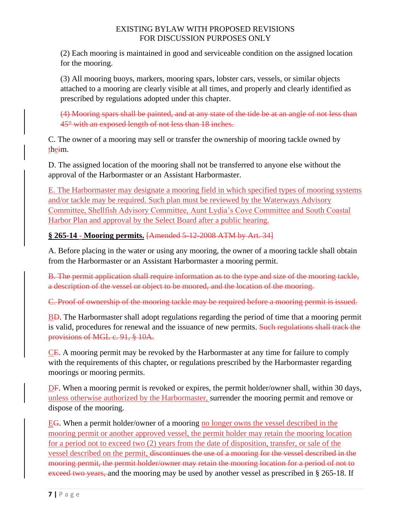(2) Each mooring is maintained in good and serviceable condition on the assigned location for the mooring.

(3) All mooring buoys, markers, mooring spars, lobster cars, vessels, or similar objects attached to a mooring are clearly visible at all times, and properly and clearly identified as prescribed by regulations adopted under this chapter.

(4) Mooring spars shall be painted, and at any state of the tide be at an angle of not less than 45° with an exposed length of not less than 18 inches.

C. The owner of a mooring may sell or transfer the ownership of mooring tackle owned by theim.

D. The assigned location of the mooring shall not be transferred to anyone else without the approval of the Harbormaster or an Assistant Harbormaster.

E. The Harbormaster may designate a mooring field in which specified types of mooring systems and/or tackle may be required. Such plan must be reviewed by the Waterways Advisory Committee, Shellfish Advisory Committee, Aunt Lydia's Cove Committee and South Coastal Harbor Plan and approval by the Select Board after a public hearing.

**§ 265-14 - Mooring permits.** [Amended 5-12-2008 ATM by Art. 34]

A. Before placing in the water or using any mooring, the owner of a mooring tackle shall obtain from the Harbormaster or an Assistant Harbormaster a mooring permit.

B. The permit application shall require information as to the type and size of the mooring tackle, a description of the vessel or object to be moored, and the location of the mooring.

C. Proof of ownership of the mooring tackle may be required before a mooring permit is issued.

BD. The Harbormaster shall adopt regulations regarding the period of time that a mooring permit is valid, procedures for renewal and the issuance of new permits. Such regulations shall track the provisions of MGL c. 91, § 10A.

CE. A mooring permit may be revoked by the Harbormaster at any time for failure to comply with the requirements of this chapter, or regulations prescribed by the Harbormaster regarding moorings or mooring permits.

DF. When a mooring permit is revoked or expires, the permit holder/owner shall, within 30 days, unless otherwise authorized by the Harbormaster, surrender the mooring permit and remove or dispose of the mooring.

EG. When a permit holder/owner of a mooring no longer owns the vessel described in the mooring permit or another approved vessel, the permit holder may retain the mooring location for a period not to exceed two (2) years from the date of disposition, transfer, or sale of the vessel described on the permit, discontinues the use of a mooring for the vessel described in the mooring permit, the permit holder/owner may retain the mooring location for a period of not to exceed two years, and the mooring may be used by another vessel as prescribed in § 265-18. If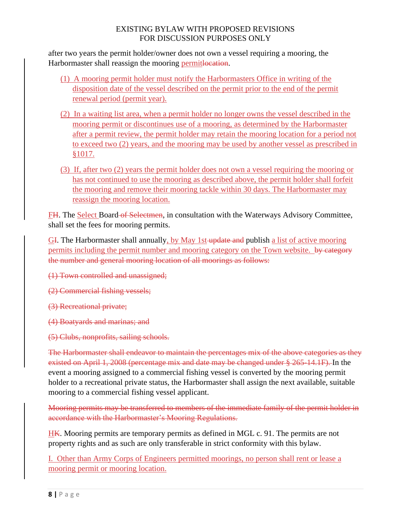after two years the permit holder/owner does not own a vessel requiring a mooring, the Harbormaster shall reassign the mooring permitlocation.

- (1) A mooring permit holder must notify the Harbormasters Office in writing of the disposition date of the vessel described on the permit prior to the end of the permit renewal period (permit year).
- (2) In a waiting list area, when a permit holder no longer owns the vessel described in the mooring permit or discontinues use of a mooring, as determined by the Harbormaster after a permit review, the permit holder may retain the mooring location for a period not to exceed two (2) years, and the mooring may be used by another vessel as prescribed in §1017.
- (3) If, after two (2) years the permit holder does not own a vessel requiring the mooring or has not continued to use the mooring as described above, the permit holder shall forfeit the mooring and remove their mooring tackle within 30 days. The Harbormaster may reassign the mooring location.

FH. The Select Board of Selectmen, in consultation with the Waterways Advisory Committee, shall set the fees for mooring permits.

GI. The Harbormaster shall annually, by May 1st update and publish a list of active mooring permits including the permit number and mooring category on the Town website. by category the number and general mooring location of all moorings as follows:

- (1) Town controlled and unassigned;
- (2) Commercial fishing vessels;
- (3) Recreational private;
- (4) Boatyards and marinas; and
- (5) Clubs, nonprofits, sailing schools.

The Harbormaster shall endeavor to maintain the percentages mix of the above categories as they existed on April 1, 2008 (percentage mix and date may be changed under § 265-14.1F). In the event a mooring assigned to a commercial fishing vessel is converted by the mooring permit holder to a recreational private status, the Harbormaster shall assign the next available, suitable mooring to a commercial fishing vessel applicant.

Mooring permits may be transferred to members of the immediate family of the permit holder in accordance with the Harbormaster's Mooring Regulations.

HK. Mooring permits are temporary permits as defined in MGL c. 91. The permits are not property rights and as such are only transferable in strict conformity with this bylaw.

I. Other than Army Corps of Engineers permitted moorings, no person shall rent or lease a mooring permit or mooring location.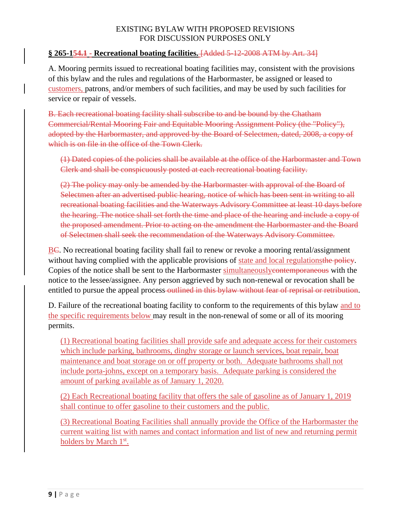### **§ 265-154.1 - Recreational boating facilities.** [Added 5-12-2008 ATM by Art. 34]

A. Mooring permits issued to recreational boating facilities may, consistent with the provisions of this bylaw and the rules and regulations of the Harbormaster, be assigned or leased to customers, patrons, and/or members of such facilities, and may be used by such facilities for service or repair of vessels.

B. Each recreational boating facility shall subscribe to and be bound by the Chatham Commercial/Rental Mooring Fair and Equitable Mooring Assignment Policy (the "Policy"), adopted by the Harbormaster, and approved by the Board of Selectmen, dated, 2008, a copy of which is on file in the office of the Town Clerk.

(1) Dated copies of the policies shall be available at the office of the Harbormaster and Town Clerk and shall be conspicuously posted at each recreational boating facility.

(2) The policy may only be amended by the Harbormaster with approval of the Board of Selectmen after an advertised public hearing, notice of which has been sent in writing to all recreational boating facilities and the Waterways Advisory Committee at least 10 days before the hearing. The notice shall set forth the time and place of the hearing and include a copy of the proposed amendment. Prior to acting on the amendment the Harbormaster and the Board of Selectmen shall seek the recommendation of the Waterways Advisory Committee.

BC. No recreational boating facility shall fail to renew or revoke a mooring rental/assignment without having complied with the applicable provisions of state and local regulations the policy. Copies of the notice shall be sent to the Harbormaster simultaneouslycontemporaneous with the notice to the lessee/assignee. Any person aggrieved by such non-renewal or revocation shall be entitled to pursue the appeal process-outlined in this bylaw without fear of reprisal or retribution.

D. Failure of the recreational boating facility to conform to the requirements of this bylaw and to the specific requirements below may result in the non-renewal of some or all of its mooring permits.

(1) Recreational boating facilities shall provide safe and adequate access for their customers which include parking, bathrooms, dinghy storage or launch services, boat repair, boat maintenance and boat storage on or off property or both. Adequate bathrooms shall not include porta-johns, except on a temporary basis. Adequate parking is considered the amount of parking available as of January 1, 2020.

(2) Each Recreational boating facility that offers the sale of gasoline as of January 1, 2019 shall continue to offer gasoline to their customers and the public.

(3) Recreational Boating Facilities shall annually provide the Office of the Harbormaster the current waiting list with names and contact information and list of new and returning permit holders by March 1<sup>st</sup>.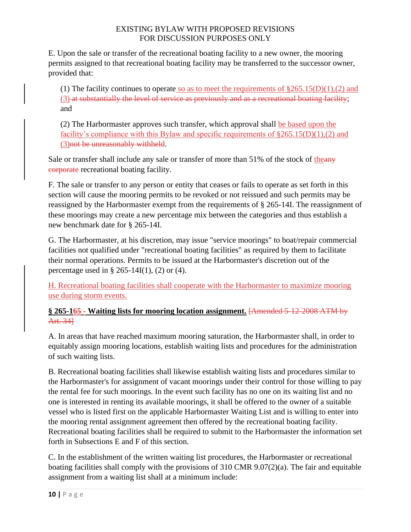E. Upon the sale or transfer of the recreational boating facility to a new owner, the mooring permits assigned to that recreational boating facility may be transferred to the successor owner, provided that:

(1) The facility continues to operate so as to meet the requirements of  $\S265.15(D)(1),(2)$  and (3) at substantially the level of service as previously and as a recreational boating facility; and

(2) The Harbormaster approves such transfer, which approval shall be based upon the facility's compliance with this Bylaw and specific requirements of  $\S265.15(D)(1),(2)$  and (3)not be unreasonably withheld.

Sale or transfer shall include any sale or transfer of more than 51% of the stock of theany corporate recreational boating facility.

F. The sale or transfer to any person or entity that ceases or fails to operate as set forth in this section will cause the mooring permits to be revoked or not reissued and such permits may be reassigned by the Harbormaster exempt from the requirements of § 265-14I. The reassignment of these moorings may create a new percentage mix between the categories and thus establish a new benchmark date for § 265-14I.

G. The Harbormaster, at his discretion, may issue "service moorings" to boat/repair commercial facilities not qualified under "recreational boating facilities" as required by them to facilitate their normal operations. Permits to be issued at the Harbormaster's discretion out of the percentage used in  $\S 265-14I(1)$ , (2) or (4).

H. Recreational boating facilities shall cooperate with the Harbormaster to maximize mooring use during storm events.

### **§ 265-165 - Waiting lists for mooring location assignment.** [Amended 5-12-2008 ATM by Art. 34]

A. In areas that have reached maximum mooring saturation, the Harbormaster shall, in order to equitably assign mooring locations, establish waiting lists and procedures for the administration of such waiting lists.

B. Recreational boating facilities shall likewise establish waiting lists and procedures similar to the Harbormaster's for assignment of vacant moorings under their control for those willing to pay the rental fee for such moorings. In the event such facility has no one on its waiting list and no one is interested in renting its available moorings, it shall be offered to the owner of a suitable vessel who is listed first on the applicable Harbormaster Waiting List and is willing to enter into the mooring rental assignment agreement then offered by the recreational boating facility. Recreational boating facilities shall be required to submit to the Harbormaster the information set forth in Subsections E and F of this section.

C. In the establishment of the written waiting list procedures, the Harbormaster or recreational boating facilities shall comply with the provisions of 310 CMR 9.07(2)(a). The fair and equitable assignment from a waiting list shall at a minimum include: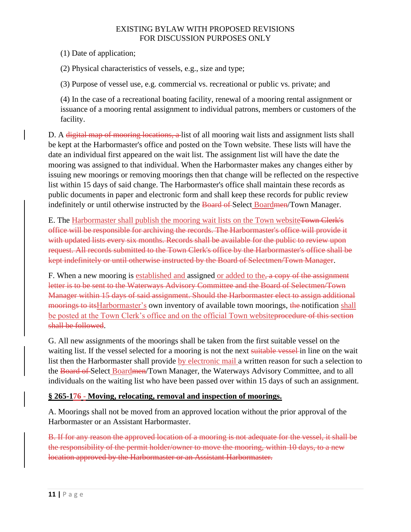(1) Date of application;

(2) Physical characteristics of vessels, e.g., size and type;

(3) Purpose of vessel use, e.g. commercial vs. recreational or public vs. private; and

(4) In the case of a recreational boating facility, renewal of a mooring rental assignment or issuance of a mooring rental assignment to individual patrons, members or customers of the facility.

D. A digital map of mooring locations, a list of all mooring wait lists and assignment lists shall be kept at the Harbormaster's office and posted on the Town website. These lists will have the date an individual first appeared on the wait list. The assignment list will have the date the mooring was assigned to that individual. When the Harbormaster makes any changes either by issuing new moorings or removing moorings then that change will be reflected on the respective list within 15 days of said change. The Harbormaster's office shall maintain these records as public documents in paper and electronic form and shall keep these records for public review indefinitely or until otherwise instructed by the Board of Select Boardmen/Town Manager.

E. The Harbormaster shall publish the mooring wait lists on the Town websiteTown Clerk's office will be responsible for archiving the records. The Harbormaster's office will provide it with updated lists every six months. Records shall be available for the public to review upon request. All records submitted to the Town Clerk's office by the Harbormaster's office shall be kept indefinitely or until otherwise instructed by the Board of Selectmen/Town Manager.

F. When a new mooring is established and assigned or added to the, a copy of the assignment letter is to be sent to the Waterways Advisory Committee and the Board of Selectmen/Town Manager within 15 days of said assignment. Should the Harbormaster elect to assign additional moorings to its Harbormaster's own inventory of available town moorings, the notification shall be posted at the Town Clerk's office and on the official Town websiteprocedure of this section shall be followed.

G. All new assignments of the moorings shall be taken from the first suitable vessel on the waiting list. If the vessel selected for a mooring is not the next suitable vessel-in line on the wait list then the Harbormaster shall provide by electronic mail a written reason for such a selection to the Board of Select Boardmen/Town Manager, the Waterways Advisory Committee, and to all individuals on the waiting list who have been passed over within 15 days of such an assignment.

# **§ 265-176 - Moving, relocating, removal and inspection of moorings.**

A. Moorings shall not be moved from an approved location without the prior approval of the Harbormaster or an Assistant Harbormaster.

B. If for any reason the approved location of a mooring is not adequate for the vessel, it shall be the responsibility of the permit holder/owner to move the mooring, within 10 days, to a new location approved by the Harbormaster or an Assistant Harbormaster.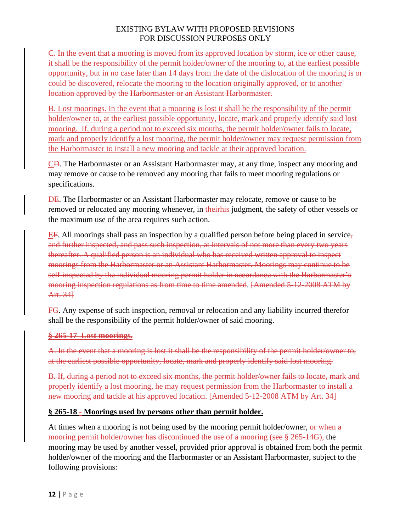C. In the event that a mooring is moved from its approved location by storm, ice or other cause, it shall be the responsibility of the permit holder/owner of the mooring to, at the earliest possible opportunity, but in no case later than 14 days from the date of the dislocation of the mooring is or could be discovered, relocate the mooring to the location originally approved, or to another location approved by the Harbormaster or an Assistant Harbormaster.

B. Lost moorings. In the event that a mooring is lost it shall be the responsibility of the permit holder/owner to, at the earliest possible opportunity, locate, mark and properly identify said lost mooring. If, during a period not to exceed six months, the permit holder/owner fails to locate, mark and properly identify a lost mooring, the permit holder/owner may request permission from the Harbormaster to install a new mooring and tackle at their approved location.

CD. The Harbormaster or an Assistant Harbormaster may, at any time, inspect any mooring and may remove or cause to be removed any mooring that fails to meet mooring regulations or specifications.

DE. The Harbormaster or an Assistant Harbormaster may relocate, remove or cause to be removed or relocated any mooring whenever, in their his judgment, the safety of other vessels or the maximum use of the area requires such action.

EF. All moorings shall pass an inspection by a qualified person before being placed in service, and further inspected, and pass such inspection, at intervals of not more than every two years thereafter. A qualified person is an individual who has received written approval to inspect moorings from the Harbormaster or an Assistant Harbormaster. Moorings may continue to be self-inspected by the individual mooring permit holder in accordance with the Harbormaster's mooring inspection regulations as from time to time amended. [Amended 5-12-2008 ATM by Art. 34]

FG. Any expense of such inspection, removal or relocation and any liability incurred therefor shall be the responsibility of the permit holder/owner of said mooring.

#### **§ 265-17 Lost moorings.**

A. In the event that a mooring is lost it shall be the responsibility of the permit holder/owner to, at the earliest possible opportunity, locate, mark and properly identify said lost mooring.

B. If, during a period not to exceed six months, the permit holder/owner fails to locate, mark and properly identify a lost mooring, he may request permission from the Harbormaster to install a new mooring and tackle at his approved location. [Amended 5-12-2008 ATM by Art. 34]

# **§ 265-18 - Moorings used by persons other than permit holder.**

At times when a mooring is not being used by the mooring permit holder/owner, or when a mooring permit holder/owner has discontinued the use of a mooring (see § 265-14G), the mooring may be used by another vessel, provided prior approval is obtained from both the permit holder/owner of the mooring and the Harbormaster or an Assistant Harbormaster, subject to the following provisions: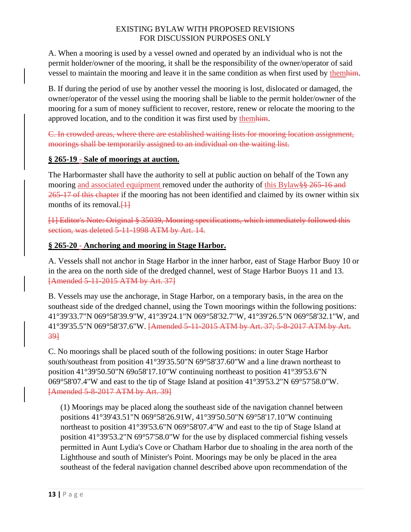A. When a mooring is used by a vessel owned and operated by an individual who is not the permit holder/owner of the mooring, it shall be the responsibility of the owner/operator of said vessel to maintain the mooring and leave it in the same condition as when first used by themhim.

B. If during the period of use by another vessel the mooring is lost, dislocated or damaged, the owner/operator of the vessel using the mooring shall be liable to the permit holder/owner of the mooring for a sum of money sufficient to recover, restore, renew or relocate the mooring to the approved location, and to the condition it was first used by themhim.

C. In crowded areas, where there are established waiting lists for mooring location assignment, moorings shall be temporarily assigned to an individual on the waiting list.

# **§ 265-19 - Sale of moorings at auction.**

The Harbormaster shall have the authority to sell at public auction on behalf of the Town any mooring and associated equipment removed under the authority of this Bylaw §§ 265-16 and 265-17 of this chapter if the mooring has not been identified and claimed by its owner within six months of its removal. $\left\{\downarrow\downarrow\right\}$ 

[1] Editor's Note: Original § 35039, Mooring specifications, which immediately followed this section, was deleted 5-11-1998 ATM by Art. 14.

# **§ 265-20 - Anchoring and mooring in Stage Harbor.**

A. Vessels shall not anchor in Stage Harbor in the inner harbor, east of Stage Harbor Buoy 10 or in the area on the north side of the dredged channel, west of Stage Harbor Buoys 11 and 13. [Amended 5-11-2015 ATM by Art. 37]

B. Vessels may use the anchorage, in Stage Harbor, on a temporary basis, in the area on the southeast side of the dredged channel, using the Town moorings within the following positions: 41°39'33.7"N 069°58'39.9"W, 41°39'24.1"N 069°58'32.7"W, 41°39'26.5"N 069°58'32.1"W, and 41°39'35.5"N 069°58'37.6"W. [Amended 5-11-2015 ATM by Art. 37; 5-8-2017 ATM by Art. 39]

C. No moorings shall be placed south of the following positions: in outer Stage Harbor south/southeast from position 41°39'35.50"N 69°58'37.60"W and a line drawn northeast to position 41°39'50.50"N 69o58'17.10"W continuing northeast to position 41°39'53.6"N 069°58'07.4"W and east to the tip of Stage Island at position 41°39'53.2"N 69°57'58.0"W. [Amended 5-8-2017 ATM by Art. 39]

(1) Moorings may be placed along the southeast side of the navigation channel between positions 41°39'43.51"N 069°58'26.91W, 41°39'50.50"N 69°58'17.10"W continuing northeast to position 41°39'53.6"N 069°58'07.4"W and east to the tip of Stage Island at position 41°39'53.2"N 69°57'58.0"W for the use by displaced commercial fishing vessels permitted in Aunt Lydia's Cove or Chatham Harbor due to shoaling in the area north of the Lighthouse and south of Minister's Point. Moorings may be only be placed in the area southeast of the federal navigation channel described above upon recommendation of the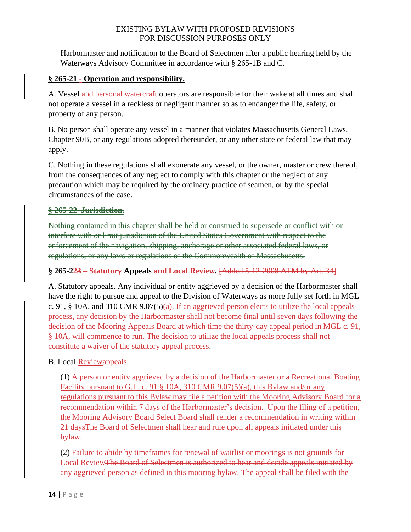Harbormaster and notification to the Board of Selectmen after a public hearing held by the Waterways Advisory Committee in accordance with § 265-1B and C.

### **§ 265-21 - Operation and responsibility.**

A. Vessel and personal watercraft operators are responsible for their wake at all times and shall not operate a vessel in a reckless or negligent manner so as to endanger the life, safety, or property of any person.

B. No person shall operate any vessel in a manner that violates Massachusetts General Laws, Chapter 90B, or any regulations adopted thereunder, or any other state or federal law that may apply.

C. Nothing in these regulations shall exonerate any vessel, or the owner, master or crew thereof, from the consequences of any neglect to comply with this chapter or the neglect of any precaution which may be required by the ordinary practice of seamen, or by the special circumstances of the case.

#### **§ 265-22 Jurisdiction.**

Nothing contained in this chapter shall be held or construed to supersede or conflict with or interfere with or limit jurisdiction of the United States Government with respect to the enforcement of the navigation, shipping, anchorage or other associated federal laws, or regulations, or any laws or regulations of the Commonwealth of Massachusetts.

# **§ 265-223 – Statutory Appeals and Local Review.** [Added 5-12-2008 ATM by Art. 34]

A. Statutory appeals. Any individual or entity aggrieved by a decision of the Harbormaster shall have the right to pursue and appeal to the Division of Waterways as more fully set forth in MGL c. 91,  $\S$  10A, and 310 CMR 9.07(5)(a). If an aggrieved person elects to utilize the local appeals process, any decision by the Harbormaster shall not become final until seven days following the decision of the Mooring Appeals Board at which time the thirty-day appeal period in MGL c. 91, § 10A, will commence to run. The decision to utilize the local appeals process shall not constitute a waiver of the statutory appeal process.

B. Local Reviewappeals.

(1) A person or entity aggrieved by a decision of the Harbormaster or a Recreational Boating Facility pursuant to G.L. c. 91  $\S$  10A, 310 CMR 9.07(5)(a), this Bylaw and/or any regulations pursuant to this Bylaw may file a petition with the Mooring Advisory Board for a recommendation within 7 days of the Harbormaster's decision. Upon the filing of a petition, the Mooring Advisory Board Select Board shall render a recommendation in writing within 21 daysThe Board of Selectmen shall hear and rule upon all appeals initiated under this bylaw.

(2) Failure to abide by timeframes for renewal of waitlist or moorings is not grounds for Local Review<del>The Board of Selectmen is authorized to hear and decide appeals initiated by</del> any aggrieved person as defined in this mooring bylaw. The appeal shall be filed with the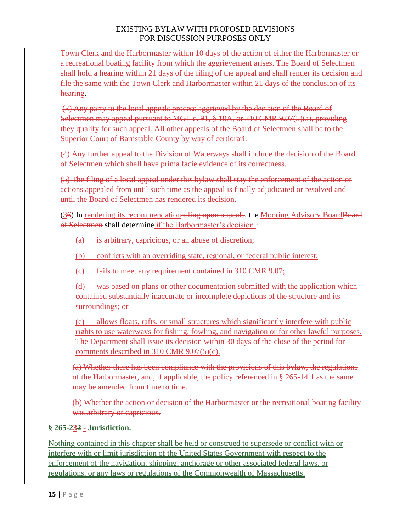Town Clerk and the Harbormaster within 10 days of the action of either the Harbormaster or a recreational boating facility from which the aggrievement arises. The Board of Selectmen shall hold a hearing within 21 days of the filing of the appeal and shall render its decision and file the same with the Town Clerk and Harbormaster within 21 days of the conclusion of its hearing.

(3) Any party to the local appeals process aggrieved by the decision of the Board of Selectmen may appeal pursuant to MGL c. 91, § 10A, or 310 CMR 9.07(5)(a), providing they qualify for such appeal. All other appeals of the Board of Selectmen shall be to the Superior Court of Barnstable County by way of certiorari.

(4) Any further appeal to the Division of Waterways shall include the decision of the Board of Selectmen which shall have prima facie evidence of its correctness.

(5) The filing of a local appeal under this bylaw shall stay the enforcement of the action or actions appealed from until such time as the appeal is finally adjudicated or resolved and until the Board of Selectmen has rendered its decision.

(36) In rendering its recommendationruling upon appeals, the Mooring Advisory BoardBoard of Selectmen shall determine if the Harbormaster's decision :

- (a) is arbitrary, capricious, or an abuse of discretion;
- (b) conflicts with an overriding state, regional, or federal public interest;
- (c) fails to meet any requirement contained in 310 CMR 9.07;

(d) was based on plans or other documentation submitted with the application which contained substantially inaccurate or incomplete depictions of the structure and its surroundings; or

(e) allows floats, rafts, or small structures which significantly interfere with public rights to use waterways for fishing, fowling, and navigation or for other lawful purposes. The Department shall issue its decision within 30 days of the close of the period for comments described in 310 CMR 9.07(5)(c).

(a) Whether there has been compliance with the provisions of this bylaw, the regulations of the Harbormaster, and, if applicable, the policy referenced in § 265-14.1 as the same may be amended from time to time.

(b) Whether the action or decision of the Harbormaster or the recreational boating facility was arbitrary or capricious.

# **§ 265-232 - Jurisdiction.**

Nothing contained in this chapter shall be held or construed to supersede or conflict with or interfere with or limit jurisdiction of the United States Government with respect to the enforcement of the navigation, shipping, anchorage or other associated federal laws, or regulations, or any laws or regulations of the Commonwealth of Massachusetts.